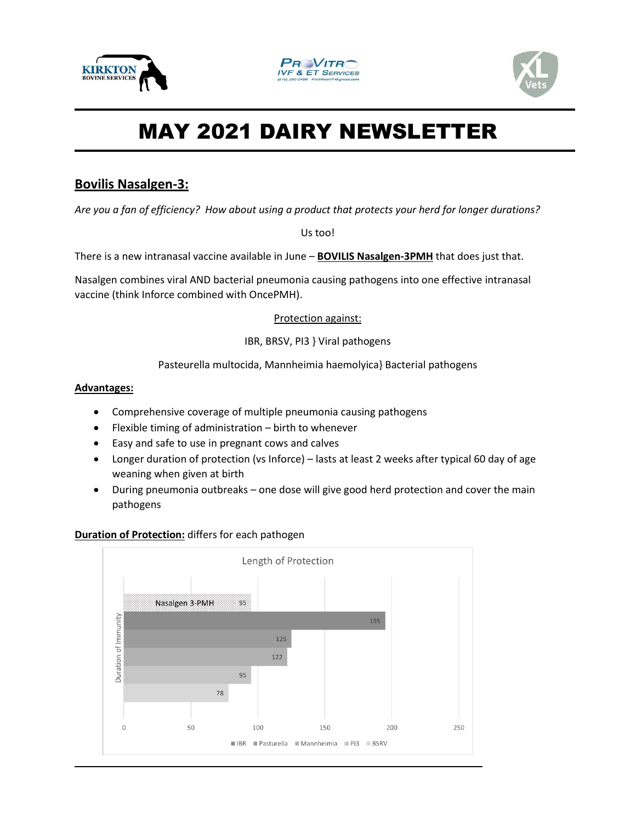





# MAY 2021 DAIRY NEWSLETTER

## **Bovilis Nasalgen-3:**

*Are you a fan of efficiency? How about using a product that protects your herd for longer durations?*

Us too!

There is a new intranasal vaccine available in June – **BOVILIS Nasalgen-3PMH** that does just that.

Nasalgen combines viral AND bacterial pneumonia causing pathogens into one effective intranasal vaccine (think Inforce combined with OncePMH).

Protection against:

#### IBR, BRSV, PI3 } Viral pathogens

#### Pasteurella multocida, Mannheimia haemolyica} Bacterial pathogens

#### **Advantages:**

- Comprehensive coverage of multiple pneumonia causing pathogens
- Flexible timing of administration birth to whenever
- Easy and safe to use in pregnant cows and calves
- Longer duration of protection (vs Inforce) lasts at least 2 weeks after typical 60 day of age weaning when given at birth
- During pneumonia outbreaks one dose will give good herd protection and cover the main pathogens

#### **Duration of Protection:** differs for each pathogen

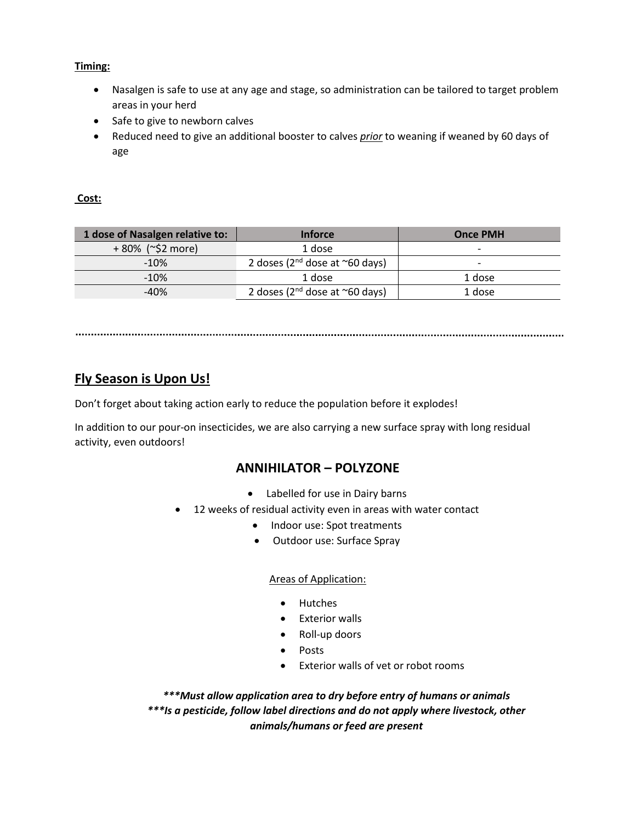#### **Timing:**

- Nasalgen is safe to use at any age and stage, so administration can be tailored to target problem areas in your herd
- Safe to give to newborn calves
- Reduced need to give an additional booster to calves *prior* to weaning if weaned by 60 days of age

#### **Cost:**

| 1 dose of Nasalgen relative to: | <b>Inforce</b>                             | <b>Once PMH</b> |
|---------------------------------|--------------------------------------------|-----------------|
| +80% (~\$2 more)                | 1 dose                                     |                 |
| $-10%$                          | 2 doses ( $2nd$ dose at $\sim$ 60 days)    |                 |
| $-10%$                          | 1 dose                                     | 1 dose          |
| $-40%$                          | 2 doses ( $2^{nd}$ dose at $\sim$ 60 days) | 1 dose          |

## **Fly Season is Upon Us!**

Don't forget about taking action early to reduce the population before it explodes!

In addition to our pour-on insecticides, we are also carrying a new surface spray with long residual activity, even outdoors!

### **ANNIHILATOR – POLYZONE**

- Labelled for use in Dairy barns
- 12 weeks of residual activity even in areas with water contact
	- Indoor use: Spot treatments
	- Outdoor use: Surface Spray

#### Areas of Application:

- Hutches
- Exterior walls
- Roll-up doors
- Posts
- Exterior walls of vet or robot rooms

*\*\*\*Must allow application area to dry before entry of humans or animals \*\*\*Is a pesticide, follow label directions and do not apply where livestock, other animals/humans or feed are present*